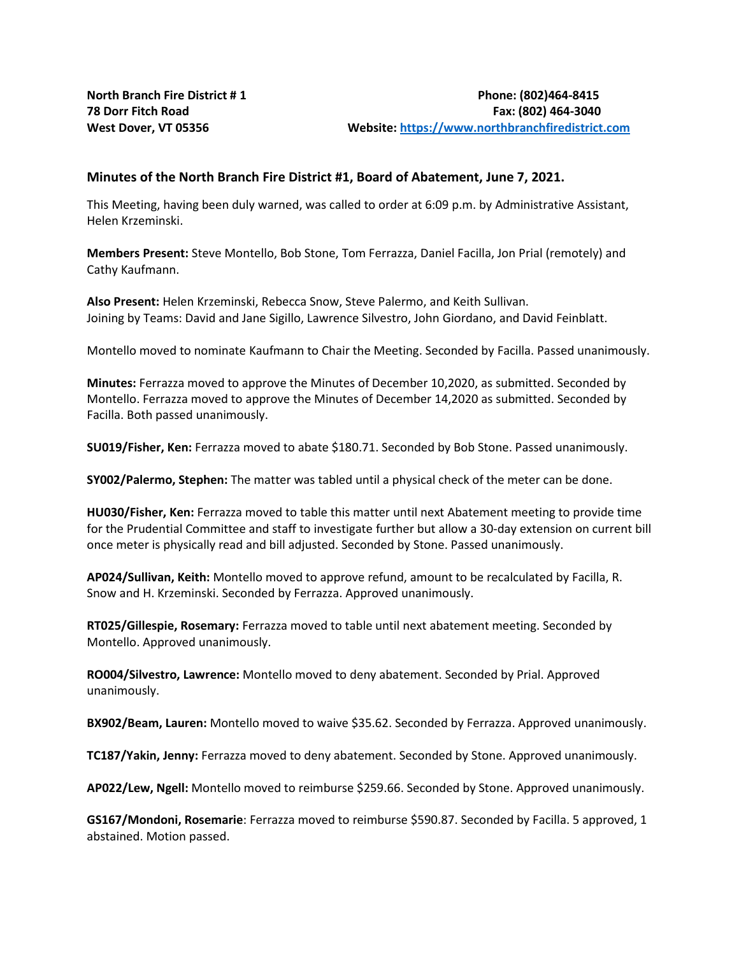## **Minutes of the North Branch Fire District #1, Board of Abatement, June 7, 2021.**

This Meeting, having been duly warned, was called to order at 6:09 p.m. by Administrative Assistant, Helen Krzeminski.

**Members Present:** Steve Montello, Bob Stone, Tom Ferrazza, Daniel Facilla, Jon Prial (remotely) and Cathy Kaufmann.

**Also Present:** Helen Krzeminski, Rebecca Snow, Steve Palermo, and Keith Sullivan. Joining by Teams: David and Jane Sigillo, Lawrence Silvestro, John Giordano, and David Feinblatt.

Montello moved to nominate Kaufmann to Chair the Meeting. Seconded by Facilla. Passed unanimously.

**Minutes:** Ferrazza moved to approve the Minutes of December 10,2020, as submitted. Seconded by Montello. Ferrazza moved to approve the Minutes of December 14,2020 as submitted. Seconded by Facilla. Both passed unanimously.

**SU019/Fisher, Ken:** Ferrazza moved to abate \$180.71. Seconded by Bob Stone. Passed unanimously.

**SY002/Palermo, Stephen:** The matter was tabled until a physical check of the meter can be done.

**HU030/Fisher, Ken:** Ferrazza moved to table this matter until next Abatement meeting to provide time for the Prudential Committee and staff to investigate further but allow a 30-day extension on current bill once meter is physically read and bill adjusted. Seconded by Stone. Passed unanimously.

**AP024/Sullivan, Keith:** Montello moved to approve refund, amount to be recalculated by Facilla, R. Snow and H. Krzeminski. Seconded by Ferrazza. Approved unanimously.

**RT025/Gillespie, Rosemary:** Ferrazza moved to table until next abatement meeting. Seconded by Montello. Approved unanimously.

**RO004/Silvestro, Lawrence:** Montello moved to deny abatement. Seconded by Prial. Approved unanimously.

**BX902/Beam, Lauren:** Montello moved to waive \$35.62. Seconded by Ferrazza. Approved unanimously.

**TC187/Yakin, Jenny:** Ferrazza moved to deny abatement. Seconded by Stone. Approved unanimously.

**AP022/Lew, Ngell:** Montello moved to reimburse \$259.66. Seconded by Stone. Approved unanimously.

**GS167/Mondoni, Rosemarie**: Ferrazza moved to reimburse \$590.87. Seconded by Facilla. 5 approved, 1 abstained. Motion passed.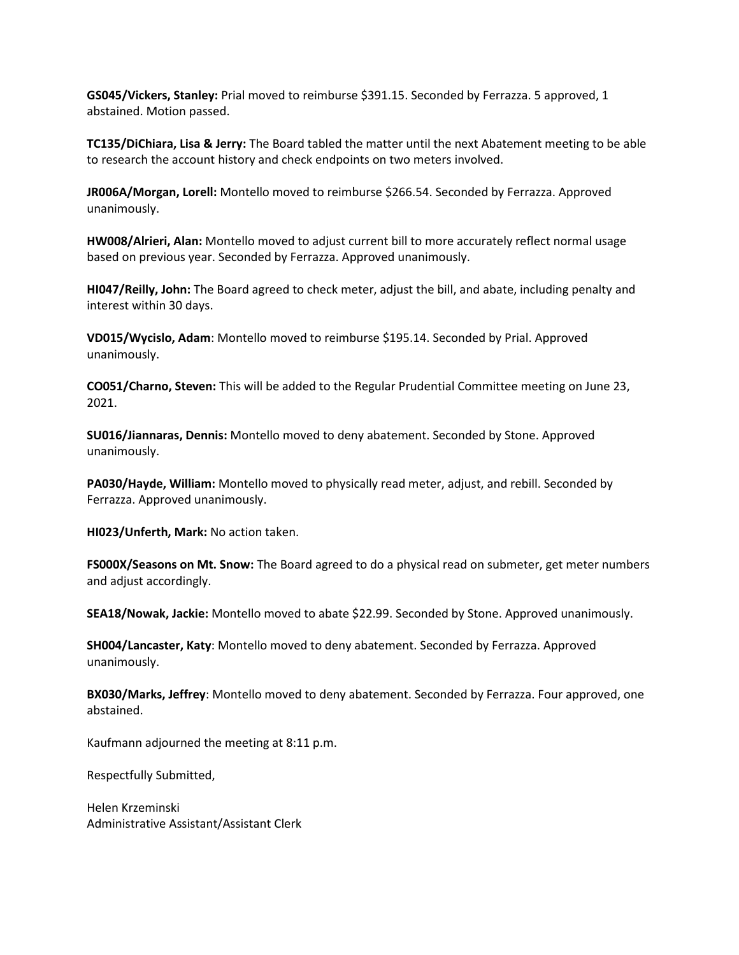**GS045/Vickers, Stanley:** Prial moved to reimburse \$391.15. Seconded by Ferrazza. 5 approved, 1 abstained. Motion passed.

**TC135/DiChiara, Lisa & Jerry:** The Board tabled the matter until the next Abatement meeting to be able to research the account history and check endpoints on two meters involved.

**JR006A/Morgan, Lorell:** Montello moved to reimburse \$266.54. Seconded by Ferrazza. Approved unanimously.

**HW008/Alrieri, Alan:** Montello moved to adjust current bill to more accurately reflect normal usage based on previous year. Seconded by Ferrazza. Approved unanimously.

**HI047/Reilly, John:** The Board agreed to check meter, adjust the bill, and abate, including penalty and interest within 30 days.

**VD015/Wycislo, Adam**: Montello moved to reimburse \$195.14. Seconded by Prial. Approved unanimously.

**CO051/Charno, Steven:** This will be added to the Regular Prudential Committee meeting on June 23, 2021.

**SU016/Jiannaras, Dennis:** Montello moved to deny abatement. Seconded by Stone. Approved unanimously.

**PA030/Hayde, William:** Montello moved to physically read meter, adjust, and rebill. Seconded by Ferrazza. Approved unanimously.

**HI023/Unferth, Mark:** No action taken.

**FS000X/Seasons on Mt. Snow:** The Board agreed to do a physical read on submeter, get meter numbers and adjust accordingly.

**SEA18/Nowak, Jackie:** Montello moved to abate \$22.99. Seconded by Stone. Approved unanimously.

**SH004/Lancaster, Katy**: Montello moved to deny abatement. Seconded by Ferrazza. Approved unanimously.

**BX030/Marks, Jeffrey**: Montello moved to deny abatement. Seconded by Ferrazza. Four approved, one abstained.

Kaufmann adjourned the meeting at 8:11 p.m.

Respectfully Submitted,

Helen Krzeminski Administrative Assistant/Assistant Clerk